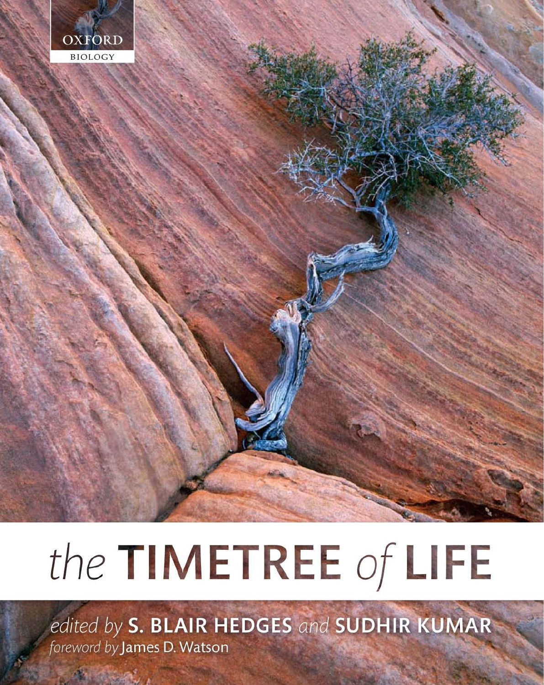

# the TIMETREE of LIFE

edited by S. BLAIR HEDGES and SUDHIR KUMAR foreword by James D. Watson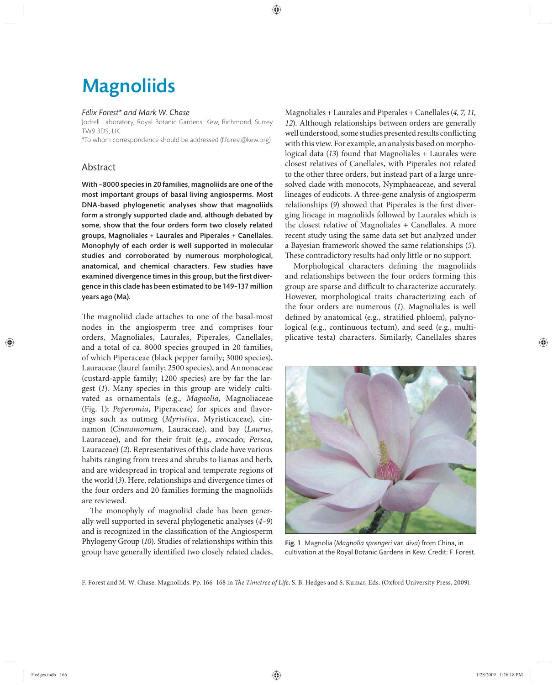## **Magnoliids**

#### *Félix Forest\* and Mark W. Chase*

Jodrell Laboratory, Royal Botanic Gardens, Kew, Richmond, Surrey TW9 3DS, UK

\*To whom correspondence should be addressed (f.forest@kew.org)

### Abstract

With ~8000 species in 20 families, magnoliids are one of the most important groups of basal living angiosperms. Most DNA-based phylogenetic analyses show that magnoliids form a strongly supported clade and, although debated by some, show that the four orders form two closely related groups, Magnoliales + Laurales and Piperales + Canellales. Monophyly of each order is well supported in molecular studies and corroborated by numerous morphological, anatomical, and chemical characters. Few studies have examined divergence times in this group, but the first divergence in this clade has been estimated to be 149–137 million years ago (Ma).

The magnoliid clade attaches to one of the basal-most nodes in the angiosperm tree and comprises four orders, Magnoliales, Laurales, Piperales, Canellales, and a total of ca. 8000 species grouped in 20 families, of which Piperaceae (black pepper family; 3000 species), Lauraceae (laurel family; 2500 species), and Annonaceae (custard-apple family; 1200 species) are by far the largest (*1*). Many species in this group are widely cultivated as ornamentals (e.g., *Magnolia*, Magnoliaceae (Fig. 1); *Peperomia*, Piperaceae) for spices and flavorings such as nutmeg (Myristica, Myristicaceae), cinnamon (*Cinnamomum*, Lauraceae), and bay (*Laurus*, Lauraceae), and for their fruit (e.g., avocado; Persea, Lauraceae) (*2*). Representatives of this clade have various habits ranging from trees and shrubs to lianas and herb, and are widespread in tropical and temperate regions of the world (*3*). Here, relationships and divergence times of the four orders and 20 families forming the magnoliids are reviewed.

The monophyly of magnoliid clade has been generally well supported in several phylogenetic analyses (*4–9*) and is recognized in the classification of the Angiosperm Phylogeny Group (*10*). Studies of relationships within this group have generally identified two closely related clades,

Magnoliales + Laurales and Piperales + Canellales (*4, 7, 11, 12*). Although relationships between orders are generally well understood, some studies presented results conflicting with this view. For example, an analysis based on morphological data (*13*) found that Magnoliales + Laurales were closest relatives of Canellales, with Piperales not related to the other three orders, but instead part of a large unresolved clade with monocots, Nymphaeaceae, and several lineages of eudicots. A three-gene analysis of angiosperm relationships (9) showed that Piperales is the first diverging lineage in magnoliids followed by Laurales which is the closest relative of Magnoliales + Canellales. A more recent study using the same data set but analyzed under a Bayesian framework showed the same relationships (*5*). These contradictory results had only little or no support.

Morphological characters defining the magnoliids and relationships between the four orders forming this group are sparse and difficult to characterize accurately. However, morphological traits characterizing each of the four orders are numerous (*1*). Magnoliales is well defined by anatomical (e.g., stratified phloem), palynological (e.g., continuous tectum), and seed (e.g., multiplicative testa) characters. Similarly, Canellales shares



Fig. 1 Magnolia (*Magnolia sprengeri* var. *diva*) from China, in cultivation at the Royal Botanic Gardens in Kew. Credit: F. Forest.

F. Forest and M. W. Chase. Magnoliids. Pp. 166-168 in *The Timetree of Life*, S. B. Hedges and S. Kumar, Eds. (Oxford University Press, 2009).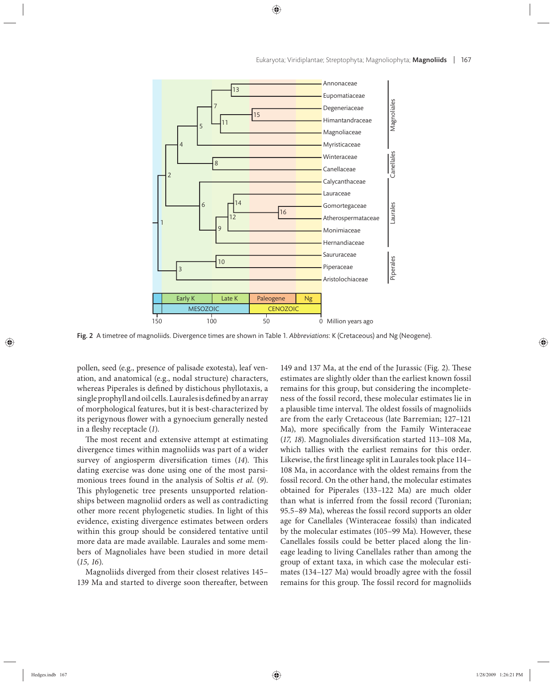

Fig. 2 A timetree of magnoliids. Divergence times are shown in Table 1. *Abbreviations*: K (Cretaceous) and Ng (Neogene).

pollen, seed (e.g., presence of palisade exotesta), leaf venation, and anatomical (e.g., nodal structure) characters, whereas Piperales is defined by distichous phyllotaxis, a single prophyll and oil cells. Laurales is defined by an array of morphological features, but it is best- characterized by its perigynous flower with a gynoecium generally nested in a fleshy receptacle (1).

The most recent and extensive attempt at estimating divergence times within magnoliids was part of a wider survey of angiosperm diversification times (14). This dating exercise was done using one of the most parsimonious trees found in the analysis of Soltis *et al.* (*9*). This phylogenetic tree presents unsupported relationships between magnoliid orders as well as contradicting other more recent phylogenetic studies. In light of this evidence, existing divergence estimates between orders within this group should be considered tentative until more data are made available. Laurales and some members of Magnoliales have been studied in more detail (*15, 16*).

Magnoliids diverged from their closest relatives 145– 139 Ma and started to diverge soon thereafter, between

149 and 137 Ma, at the end of the Jurassic (Fig. 2). These estimates are slightly older than the earliest known fossil remains for this group, but considering the incompleteness of the fossil record, these molecular estimates lie in a plausible time interval. The oldest fossils of magnoliids are from the early Cretaceous (late Barremian; 127–121 Ma), more specifically from the Family Winteraceae (17, 18). Magnoliales diversification started 113-108 Ma, which tallies with the earliest remains for this order. Likewise, the first lineage split in Laurales took place 114– 108 Ma, in accordance with the oldest remains from the fossil record. On the other hand, the molecular estimates obtained for Piperales (133-122 Ma) are much older than what is inferred from the fossil record (Turonian; 95.5–89 Ma), whereas the fossil record supports an older age for Canellales (Winteraceae fossils) than indicated by the molecular estimates (105–99 Ma). However, these Canellales fossils could be better placed along the lineage leading to living Canellales rather than among the group of extant taxa, in which case the molecular estimates (134–127 Ma) would broadly agree with the fossil remains for this group. The fossil record for magnoliids